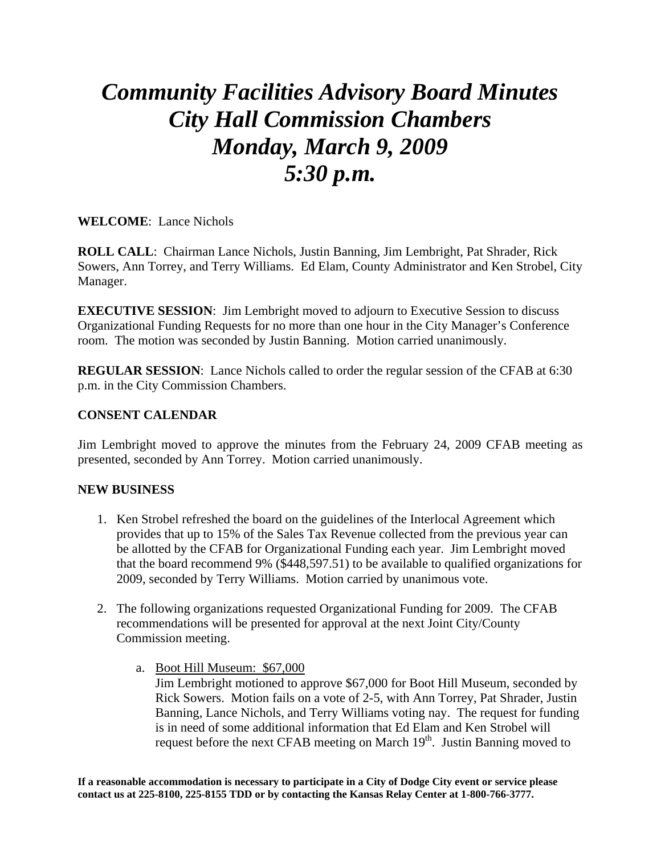## *Community Facilities Advisory Board Minutes City Hall Commission Chambers Monday, March 9, 2009 5:30 p.m.*

**WELCOME**: Lance Nichols

**ROLL CALL**: Chairman Lance Nichols, Justin Banning, Jim Lembright, Pat Shrader, Rick Sowers, Ann Torrey, and Terry Williams. Ed Elam, County Administrator and Ken Strobel, City Manager.

**EXECUTIVE SESSION:** Jim Lembright moved to adjourn to Executive Session to discuss Organizational Funding Requests for no more than one hour in the City Manager's Conference room. The motion was seconded by Justin Banning. Motion carried unanimously.

**REGULAR SESSION**: Lance Nichols called to order the regular session of the CFAB at 6:30 p.m. in the City Commission Chambers.

## **CONSENT CALENDAR**

Jim Lembright moved to approve the minutes from the February 24, 2009 CFAB meeting as presented, seconded by Ann Torrey. Motion carried unanimously.

## **NEW BUSINESS**

- 1. Ken Strobel refreshed the board on the guidelines of the Interlocal Agreement which provides that up to 15% of the Sales Tax Revenue collected from the previous year can be allotted by the CFAB for Organizational Funding each year. Jim Lembright moved that the board recommend 9% (\$448,597.51) to be available to qualified organizations for 2009, seconded by Terry Williams. Motion carried by unanimous vote.
- 2. The following organizations requested Organizational Funding for 2009. The CFAB recommendations will be presented for approval at the next Joint City/County Commission meeting.
	- a. Boot Hill Museum: \$67,000 Jim Lembright motioned to approve \$67,000 for Boot Hill Museum, seconded by Rick Sowers. Motion fails on a vote of 2-5, with Ann Torrey, Pat Shrader, Justin Banning, Lance Nichols, and Terry Williams voting nay. The request for funding is in need of some additional information that Ed Elam and Ken Strobel will request before the next CFAB meeting on March  $19<sup>th</sup>$ . Justin Banning moved to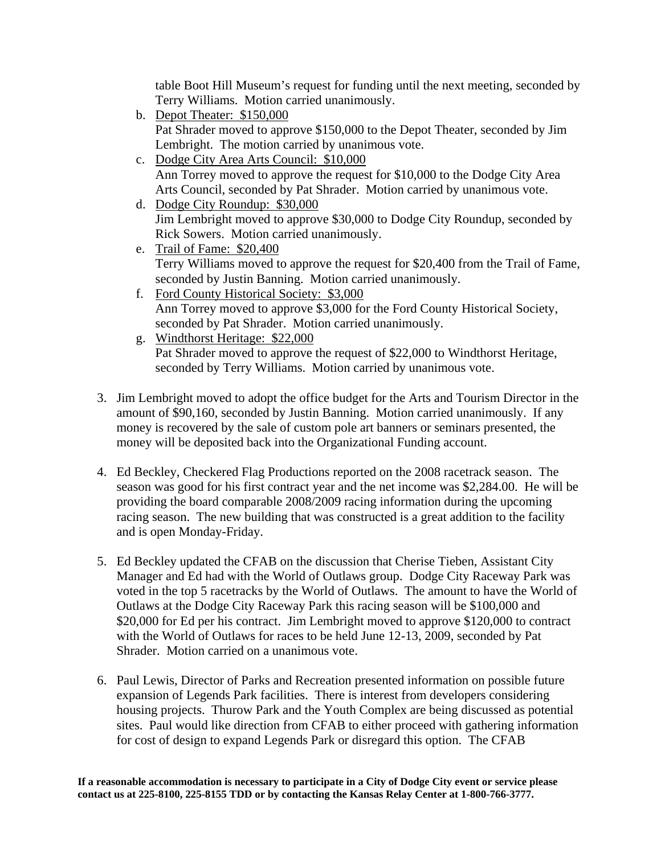table Boot Hill Museum's request for funding until the next meeting, seconded by Terry Williams. Motion carried unanimously.

- b. Depot Theater: \$150,000 Pat Shrader moved to approve \$150,000 to the Depot Theater, seconded by Jim Lembright. The motion carried by unanimous vote.
- c. Dodge City Area Arts Council: \$10,000 Ann Torrey moved to approve the request for \$10,000 to the Dodge City Area Arts Council, seconded by Pat Shrader. Motion carried by unanimous vote.
- d. Dodge City Roundup: \$30,000 Jim Lembright moved to approve \$30,000 to Dodge City Roundup, seconded by Rick Sowers. Motion carried unanimously.
- e. Trail of Fame: \$20,400 Terry Williams moved to approve the request for \$20,400 from the Trail of Fame, seconded by Justin Banning. Motion carried unanimously.
- f. Ford County Historical Society: \$3,000 Ann Torrey moved to approve \$3,000 for the Ford County Historical Society, seconded by Pat Shrader. Motion carried unanimously.
- g. Windthorst Heritage: \$22,000 Pat Shrader moved to approve the request of \$22,000 to Windthorst Heritage, seconded by Terry Williams. Motion carried by unanimous vote.
- 3. Jim Lembright moved to adopt the office budget for the Arts and Tourism Director in the amount of \$90,160, seconded by Justin Banning. Motion carried unanimously. If any money is recovered by the sale of custom pole art banners or seminars presented, the money will be deposited back into the Organizational Funding account.
- 4. Ed Beckley, Checkered Flag Productions reported on the 2008 racetrack season. The season was good for his first contract year and the net income was \$2,284.00. He will be providing the board comparable 2008/2009 racing information during the upcoming racing season. The new building that was constructed is a great addition to the facility and is open Monday-Friday.
- 5. Ed Beckley updated the CFAB on the discussion that Cherise Tieben, Assistant City Manager and Ed had with the World of Outlaws group. Dodge City Raceway Park was voted in the top 5 racetracks by the World of Outlaws. The amount to have the World of Outlaws at the Dodge City Raceway Park this racing season will be \$100,000 and \$20,000 for Ed per his contract. Jim Lembright moved to approve \$120,000 to contract with the World of Outlaws for races to be held June 12-13, 2009, seconded by Pat Shrader. Motion carried on a unanimous vote.
- 6. Paul Lewis, Director of Parks and Recreation presented information on possible future expansion of Legends Park facilities. There is interest from developers considering housing projects. Thurow Park and the Youth Complex are being discussed as potential sites. Paul would like direction from CFAB to either proceed with gathering information for cost of design to expand Legends Park or disregard this option. The CFAB

**If a reasonable accommodation is necessary to participate in a City of Dodge City event or service please contact us at 225-8100, 225-8155 TDD or by contacting the Kansas Relay Center at 1-800-766-3777.**